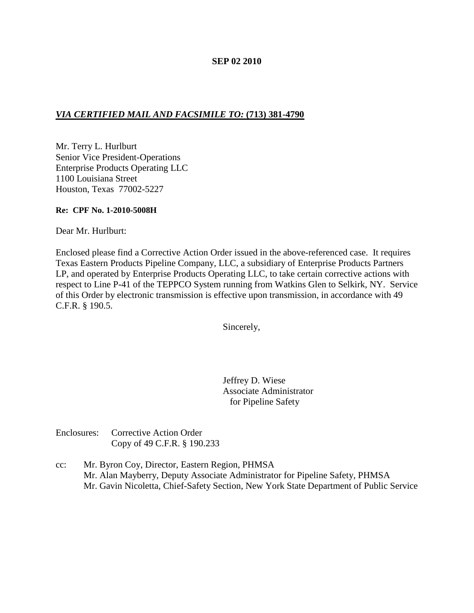### **SEP 02 2010**

# *VIA CERTIFIED MAIL AND FACSIMILE TO:* **(713) 381-4790**

Mr. Terry L. Hurlburt Senior Vice President-Operations Enterprise Products Operating LLC 1100 Louisiana Street Houston, Texas 77002-5227

### **Re: CPF No. 1-2010-5008H**

Dear Mr. Hurlburt:

Enclosed please find a Corrective Action Order issued in the above-referenced case. It requires Texas Eastern Products Pipeline Company, LLC, a subsidiary of Enterprise Products Partners LP, and operated by Enterprise Products Operating LLC, to take certain corrective actions with respect to Line P-41 of the TEPPCO System running from Watkins Glen to Selkirk, NY. Service of this Order by electronic transmission is effective upon transmission, in accordance with 49 C.F.R. § 190.5.

Sincerely,

Jeffrey D. Wiese Associate Administrator for Pipeline Safety

Enclosures: Corrective Action Order Copy of 49 C.F.R. § 190.233

cc: Mr. Byron Coy, Director, Eastern Region, PHMSA Mr. Alan Mayberry, Deputy Associate Administrator for Pipeline Safety, PHMSA Mr. Gavin Nicoletta, Chief-Safety Section, New York State Department of Public Service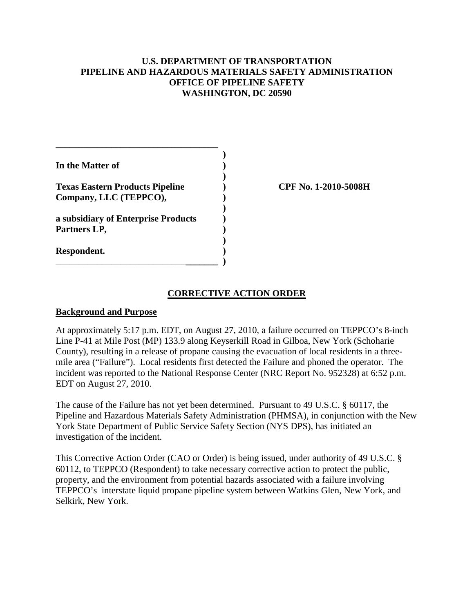## **U.S. DEPARTMENT OF TRANSPORTATION PIPELINE AND HAZARDOUS MATERIALS SAFETY ADMINISTRATION OFFICE OF PIPELINE SAFETY WASHINGTON, DC 20590**

| In the Matter of                                                 |  |
|------------------------------------------------------------------|--|
| <b>Texas Eastern Products Pipeline</b><br>Company, LLC (TEPPCO), |  |
| a subsidiary of Enterprise Products<br>Partners LP,              |  |
| Respondent.                                                      |  |

**\_\_\_\_\_\_\_\_\_\_\_\_\_\_\_\_\_\_\_\_\_\_\_\_\_\_\_\_\_\_\_\_\_\_\_**

**Texas Eastern Products Pipeline ) CPF No. 1-2010-5008H**

## **CORRECTIVE ACTION ORDER**

#### **Background and Purpose**

At approximately 5:17 p.m. EDT, on August 27, 2010, a failure occurred on TEPPCO's 8-inch Line P-41 at Mile Post (MP) 133.9 along Keyserkill Road in Gilboa, New York (Schoharie County), resulting in a release of propane causing the evacuation of local residents in a threemile area ("Failure"). Local residents first detected the Failure and phoned the operator. The incident was reported to the National Response Center (NRC Report No. 952328) at 6:52 p.m. EDT on August 27, 2010.

The cause of the Failure has not yet been determined. Pursuant to 49 U.S.C. § 60117, the Pipeline and Hazardous Materials Safety Administration (PHMSA), in conjunction with the New York State Department of Public Service Safety Section (NYS DPS), has initiated an investigation of the incident.

This Corrective Action Order (CAO or Order) is being issued, under authority of 49 U.S.C. § 60112, to TEPPCO (Respondent) to take necessary corrective action to protect the public, property, and the environment from potential hazards associated with a failure involving TEPPCO's interstate liquid propane pipeline system between Watkins Glen, New York, and Selkirk, New York.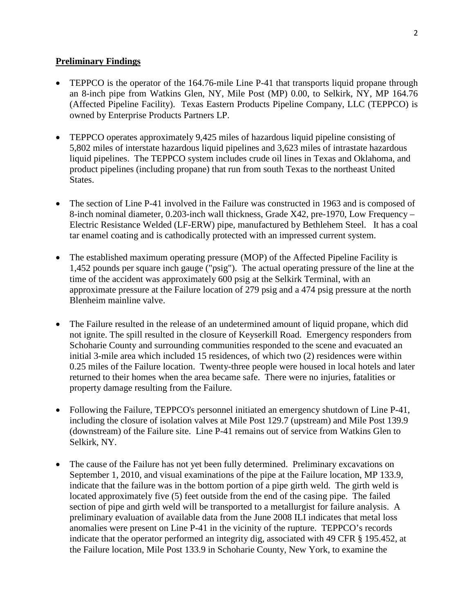### **Preliminary Findings**

- TEPPCO is the operator of the 164.76-mile Line P-41 that transports liquid propane through an 8-inch pipe from Watkins Glen, NY, Mile Post (MP) 0.00, to Selkirk, NY, MP 164.76 (Affected Pipeline Facility). Texas Eastern Products Pipeline Company, LLC (TEPPCO) is owned by Enterprise Products Partners LP.
- TEPPCO operates approximately 9,425 miles of hazardous liquid pipeline consisting of 5,802 miles of interstate hazardous liquid pipelines and 3,623 miles of intrastate hazardous liquid pipelines. The TEPPCO system includes crude oil lines in Texas and Oklahoma, and product pipelines (including propane) that run from south Texas to the northeast United States.
- The section of Line P-41 involved in the Failure was constructed in 1963 and is composed of 8-inch nominal diameter, 0.203-inch wall thickness, Grade X42, pre-1970, Low Frequency – Electric Resistance Welded (LF-ERW) pipe, manufactured by Bethlehem Steel. It has a coal tar enamel coating and is cathodically protected with an impressed current system.
- The established maximum operating pressure (MOP) of the Affected Pipeline Facility is 1,452 pounds per square inch gauge ("psig"). The actual operating pressure of the line at the time of the accident was approximately 600 psig at the Selkirk Terminal, with an approximate pressure at the Failure location of 279 psig and a 474 psig pressure at the north Blenheim mainline valve.
- The Failure resulted in the release of an undetermined amount of liquid propane, which did not ignite. The spill resulted in the closure of Keyserkill Road. Emergency responders from Schoharie County and surrounding communities responded to the scene and evacuated an initial 3-mile area which included 15 residences, of which two (2) residences were within 0.25 miles of the Failure location. Twenty-three people were housed in local hotels and later returned to their homes when the area became safe. There were no injuries, fatalities or property damage resulting from the Failure.
- Following the Failure, TEPPCO's personnel initiated an emergency shutdown of Line P-41, including the closure of isolation valves at Mile Post 129.7 (upstream) and Mile Post 139.9 (downstream) of the Failure site. Line P-41 remains out of service from Watkins Glen to Selkirk, NY.
- The cause of the Failure has not yet been fully determined. Preliminary excavations on September 1, 2010, and visual examinations of the pipe at the Failure location, MP 133.9, indicate that the failure was in the bottom portion of a pipe girth weld. The girth weld is located approximately five (5) feet outside from the end of the casing pipe. The failed section of pipe and girth weld will be transported to a metallurgist for failure analysis. A preliminary evaluation of available data from the June 2008 ILI indicates that metal loss anomalies were present on Line P-41 in the vicinity of the rupture. TEPPCO's records indicate that the operator performed an integrity dig, associated with 49 CFR § 195.452, at the Failure location, Mile Post 133.9 in Schoharie County, New York, to examine the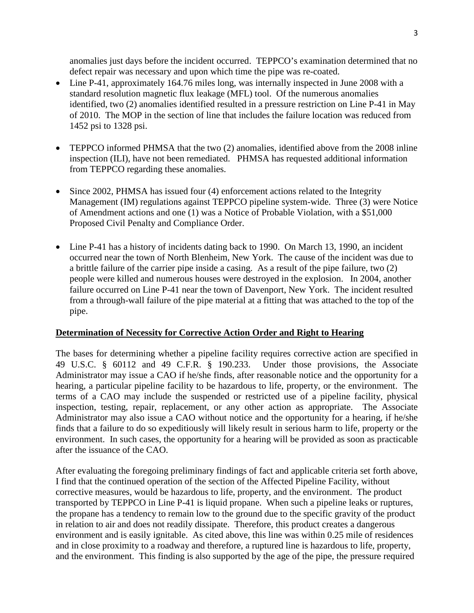anomalies just days before the incident occurred. TEPPCO's examination determined that no defect repair was necessary and upon which time the pipe was re-coated.

- Line P-41, approximately 164.76 miles long, was internally inspected in June 2008 with a standard resolution magnetic flux leakage (MFL) tool. Of the numerous anomalies identified, two (2) anomalies identified resulted in a pressure restriction on Line P-41 in May of 2010. The MOP in the section of line that includes the failure location was reduced from 1452 psi to 1328 psi.
- TEPPCO informed PHMSA that the two (2) anomalies, identified above from the 2008 inline inspection (ILI), have not been remediated. PHMSA has requested additional information from TEPPCO regarding these anomalies.
- Since 2002, PHMSA has issued four (4) enforcement actions related to the Integrity Management (IM) regulations against TEPPCO pipeline system-wide. Three (3) were Notice of Amendment actions and one (1) was a Notice of Probable Violation, with a \$51,000 Proposed Civil Penalty and Compliance Order.
- Line P-41 has a history of incidents dating back to 1990. On March 13, 1990, an incident occurred near the town of North Blenheim, New York. The cause of the incident was due to a brittle failure of the carrier pipe inside a casing. As a result of the pipe failure, two (2) people were killed and numerous houses were destroyed in the explosion. In 2004, another failure occurred on Line P-41 near the town of Davenport, New York. The incident resulted from a through-wall failure of the pipe material at a fitting that was attached to the top of the pipe.

### **Determination of Necessity for Corrective Action Order and Right to Hearing**

The bases for determining whether a pipeline facility requires corrective action are specified in 49 U.S.C. § 60112 and 49 C.F.R. § 190.233. Under those provisions, the Associate Administrator may issue a CAO if he/she finds, after reasonable notice and the opportunity for a hearing, a particular pipeline facility to be hazardous to life, property, or the environment. The terms of a CAO may include the suspended or restricted use of a pipeline facility, physical inspection, testing, repair, replacement, or any other action as appropriate. The Associate Administrator may also issue a CAO without notice and the opportunity for a hearing, if he/she finds that a failure to do so expeditiously will likely result in serious harm to life, property or the environment. In such cases, the opportunity for a hearing will be provided as soon as practicable after the issuance of the CAO.

After evaluating the foregoing preliminary findings of fact and applicable criteria set forth above, I find that the continued operation of the section of the Affected Pipeline Facility, without corrective measures, would be hazardous to life, property, and the environment. The product transported by TEPPCO in Line P-41 is liquid propane. When such a pipeline leaks or ruptures, the propane has a tendency to remain low to the ground due to the specific gravity of the product in relation to air and does not readily dissipate. Therefore, this product creates a dangerous environment and is easily ignitable. As cited above, this line was within 0.25 mile of residences and in close proximity to a roadway and therefore, a ruptured line is hazardous to life, property, and the environment. This finding is also supported by the age of the pipe, the pressure required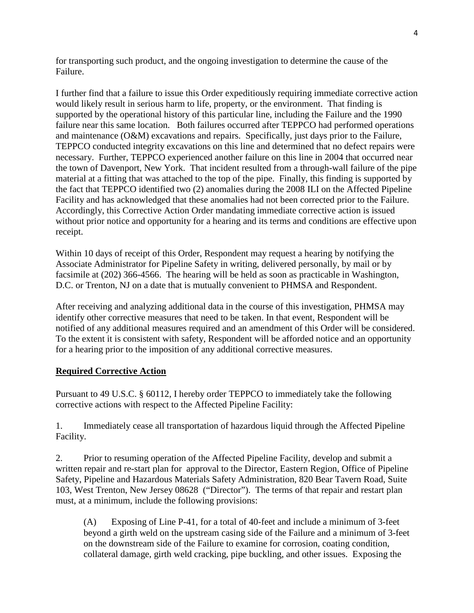for transporting such product, and the ongoing investigation to determine the cause of the Failure.

I further find that a failure to issue this Order expeditiously requiring immediate corrective action would likely result in serious harm to life, property, or the environment. That finding is supported by the operational history of this particular line, including the Failure and the 1990 failure near this same location. Both failures occurred after TEPPCO had performed operations and maintenance (O&M) excavations and repairs. Specifically, just days prior to the Failure, TEPPCO conducted integrity excavations on this line and determined that no defect repairs were necessary. Further, TEPPCO experienced another failure on this line in 2004 that occurred near the town of Davenport, New York. That incident resulted from a through-wall failure of the pipe material at a fitting that was attached to the top of the pipe. Finally, this finding is supported by the fact that TEPPCO identified two (2) anomalies during the 2008 ILI on the Affected Pipeline Facility and has acknowledged that these anomalies had not been corrected prior to the Failure. Accordingly, this Corrective Action Order mandating immediate corrective action is issued without prior notice and opportunity for a hearing and its terms and conditions are effective upon receipt.

Within 10 days of receipt of this Order, Respondent may request a hearing by notifying the Associate Administrator for Pipeline Safety in writing, delivered personally, by mail or by facsimile at (202) 366-4566. The hearing will be held as soon as practicable in Washington, D.C. or Trenton, NJ on a date that is mutually convenient to PHMSA and Respondent.

After receiving and analyzing additional data in the course of this investigation, PHMSA may identify other corrective measures that need to be taken. In that event, Respondent will be notified of any additional measures required and an amendment of this Order will be considered. To the extent it is consistent with safety, Respondent will be afforded notice and an opportunity for a hearing prior to the imposition of any additional corrective measures.

### **Required Corrective Action**

Pursuant to 49 U.S.C. § 60112, I hereby order TEPPCO to immediately take the following corrective actions with respect to the Affected Pipeline Facility:

1. Immediately cease all transportation of hazardous liquid through the Affected Pipeline Facility.

2. Prior to resuming operation of the Affected Pipeline Facility, develop and submit a written repair and re-start plan for approval to the Director, Eastern Region, Office of Pipeline Safety, Pipeline and Hazardous Materials Safety Administration, 820 Bear Tavern Road, Suite 103, West Trenton, New Jersey 08628 ("Director"). The terms of that repair and restart plan must, at a minimum, include the following provisions:

(A) Exposing of Line P-41, for a total of 40-feet and include a minimum of 3-feet beyond a girth weld on the upstream casing side of the Failure and a minimum of 3-feet on the downstream side of the Failure to examine for corrosion, coating condition, collateral damage, girth weld cracking, pipe buckling, and other issues. Exposing the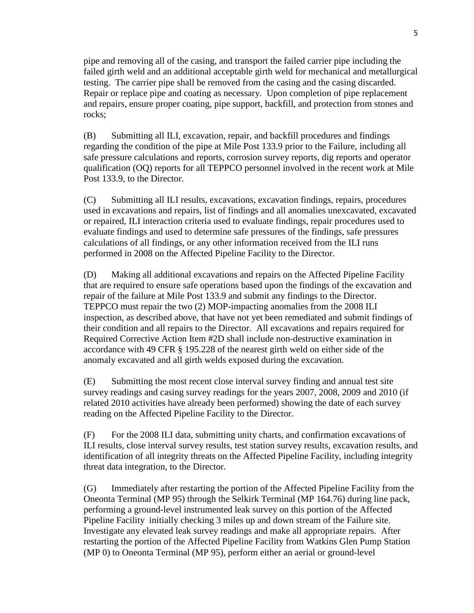pipe and removing all of the casing, and transport the failed carrier pipe including the failed girth weld and an additional acceptable girth weld for mechanical and metallurgical testing. The carrier pipe shall be removed from the casing and the casing discarded. Repair or replace pipe and coating as necessary. Upon completion of pipe replacement and repairs, ensure proper coating, pipe support, backfill, and protection from stones and rocks;

(B) Submitting all ILI, excavation, repair, and backfill procedures and findings regarding the condition of the pipe at Mile Post 133.9 prior to the Failure, including all safe pressure calculations and reports, corrosion survey reports, dig reports and operator qualification (OQ) reports for all TEPPCO personnel involved in the recent work at Mile Post 133.9, to the Director.

(C) Submitting all ILI results, excavations, excavation findings, repairs, procedures used in excavations and repairs, list of findings and all anomalies unexcavated, excavated or repaired, ILI interaction criteria used to evaluate findings, repair procedures used to evaluate findings and used to determine safe pressures of the findings, safe pressures calculations of all findings, or any other information received from the ILI runs performed in 2008 on the Affected Pipeline Facility to the Director.

(D) Making all additional excavations and repairs on the Affected Pipeline Facility that are required to ensure safe operations based upon the findings of the excavation and repair of the failure at Mile Post 133.9 and submit any findings to the Director. TEPPCO must repair the two (2) MOP-impacting anomalies from the 2008 ILI inspection, as described above, that have not yet been remediated and submit findings of their condition and all repairs to the Director. All excavations and repairs required for Required Corrective Action Item #2D shall include non-destructive examination in accordance with 49 CFR § 195.228 of the nearest girth weld on either side of the anomaly excavated and all girth welds exposed during the excavation.

(E) Submitting the most recent close interval survey finding and annual test site survey readings and casing survey readings for the years 2007, 2008, 2009 and 2010 (if related 2010 activities have already been performed) showing the date of each survey reading on the Affected Pipeline Facility to the Director.

(F) For the 2008 ILI data, submitting unity charts, and confirmation excavations of ILI results, close interval survey results, test station survey results, excavation results, and identification of all integrity threats on the Affected Pipeline Facility, including integrity threat data integration, to the Director.

(G) Immediately after restarting the portion of the Affected Pipeline Facility from the Oneonta Terminal (MP 95) through the Selkirk Terminal (MP 164.76) during line pack, performing a ground-level instrumented leak survey on this portion of the Affected Pipeline Facility initially checking 3 miles up and down stream of the Failure site. Investigate any elevated leak survey readings and make all appropriate repairs. After restarting the portion of the Affected Pipeline Facility from Watkins Glen Pump Station (MP 0) to Oneonta Terminal (MP 95), perform either an aerial or ground-level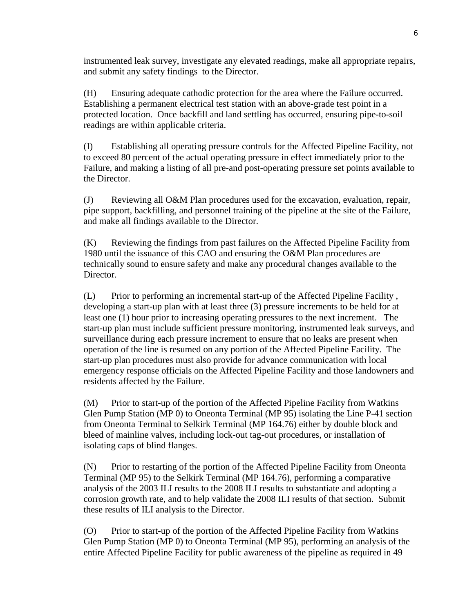instrumented leak survey, investigate any elevated readings, make all appropriate repairs, and submit any safety findings to the Director.

(H) Ensuring adequate cathodic protection for the area where the Failure occurred. Establishing a permanent electrical test station with an above-grade test point in a protected location. Once backfill and land settling has occurred, ensuring pipe-to-soil readings are within applicable criteria.

(I) Establishing all operating pressure controls for the Affected Pipeline Facility, not to exceed 80 percent of the actual operating pressure in effect immediately prior to the Failure, and making a listing of all pre-and post-operating pressure set points available to the Director.

(J) Reviewing all O&M Plan procedures used for the excavation, evaluation, repair, pipe support, backfilling, and personnel training of the pipeline at the site of the Failure, and make all findings available to the Director.

(K) Reviewing the findings from past failures on the Affected Pipeline Facility from 1980 until the issuance of this CAO and ensuring the O&M Plan procedures are technically sound to ensure safety and make any procedural changes available to the Director.

(L) Prior to performing an incremental start-up of the Affected Pipeline Facility , developing a start-up plan with at least three (3) pressure increments to be held for at least one (1) hour prior to increasing operating pressures to the next increment. The start-up plan must include sufficient pressure monitoring, instrumented leak surveys, and surveillance during each pressure increment to ensure that no leaks are present when operation of the line is resumed on any portion of the Affected Pipeline Facility. The start-up plan procedures must also provide for advance communication with local emergency response officials on the Affected Pipeline Facility and those landowners and residents affected by the Failure.

(M) Prior to start-up of the portion of the Affected Pipeline Facility from Watkins Glen Pump Station (MP 0) to Oneonta Terminal (MP 95) isolating the Line P-41 section from Oneonta Terminal to Selkirk Terminal (MP 164.76) either by double block and bleed of mainline valves, including lock-out tag-out procedures, or installation of isolating caps of blind flanges.

(N) Prior to restarting of the portion of the Affected Pipeline Facility from Oneonta Terminal (MP 95) to the Selkirk Terminal (MP 164.76), performing a comparative analysis of the 2003 ILI results to the 2008 ILI results to substantiate and adopting a corrosion growth rate, and to help validate the 2008 ILI results of that section. Submit these results of ILI analysis to the Director.

(O) Prior to start-up of the portion of the Affected Pipeline Facility from Watkins Glen Pump Station (MP 0) to Oneonta Terminal (MP 95), performing an analysis of the entire Affected Pipeline Facility for public awareness of the pipeline as required in 49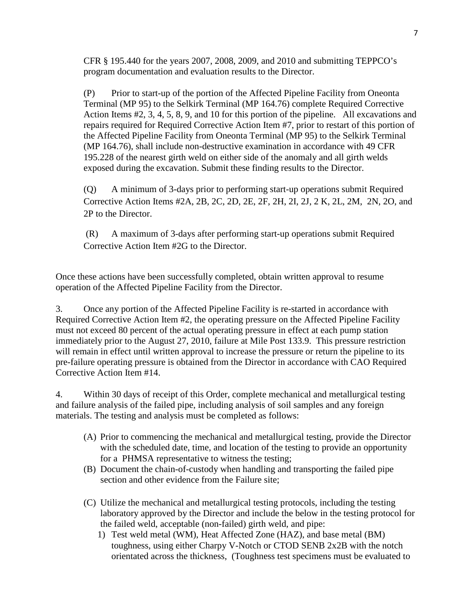CFR § 195.440 for the years 2007, 2008, 2009, and 2010 and submitting TEPPCO's program documentation and evaluation results to the Director.

(P) Prior to start-up of the portion of the Affected Pipeline Facility from Oneonta Terminal (MP 95) to the Selkirk Terminal (MP 164.76) complete Required Corrective Action Items #2, 3, 4, 5, 8, 9, and 10 for this portion of the pipeline. All excavations and repairs required for Required Corrective Action Item #7, prior to restart of this portion of the Affected Pipeline Facility from Oneonta Terminal (MP 95) to the Selkirk Terminal (MP 164.76), shall include non-destructive examination in accordance with 49 CFR 195.228 of the nearest girth weld on either side of the anomaly and all girth welds exposed during the excavation. Submit these finding results to the Director.

(Q) A minimum of 3-days prior to performing start-up operations submit Required Corrective Action Items #2A, 2B, 2C, 2D, 2E, 2F, 2H, 2I, 2J, 2 K, 2L, 2M, 2N, 2O, and 2P to the Director.

(R) A maximum of 3-days after performing start-up operations submit Required Corrective Action Item #2G to the Director.

Once these actions have been successfully completed, obtain written approval to resume operation of the Affected Pipeline Facility from the Director.

3. Once any portion of the Affected Pipeline Facility is re-started in accordance with Required Corrective Action Item #2, the operating pressure on the Affected Pipeline Facility must not exceed 80 percent of the actual operating pressure in effect at each pump station immediately prior to the August 27, 2010, failure at Mile Post 133.9. This pressure restriction will remain in effect until written approval to increase the pressure or return the pipeline to its pre-failure operating pressure is obtained from the Director in accordance with CAO Required Corrective Action Item #14.

4. Within 30 days of receipt of this Order, complete mechanical and metallurgical testing and failure analysis of the failed pipe, including analysis of soil samples and any foreign materials. The testing and analysis must be completed as follows:

- (A) Prior to commencing the mechanical and metallurgical testing, provide the Director with the scheduled date, time, and location of the testing to provide an opportunity for a PHMSA representative to witness the testing;
- (B) Document the chain-of-custody when handling and transporting the failed pipe section and other evidence from the Failure site;
- (C) Utilize the mechanical and metallurgical testing protocols, including the testing laboratory approved by the Director and include the below in the testing protocol for the failed weld, acceptable (non-failed) girth weld, and pipe:
	- 1) Test weld metal (WM), Heat Affected Zone (HAZ), and base metal (BM) toughness, using either Charpy V-Notch or CTOD SENB 2x2B with the notch orientated across the thickness, (Toughness test specimens must be evaluated to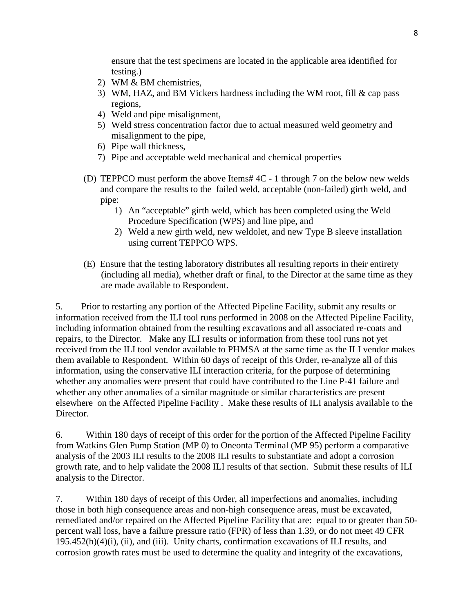ensure that the test specimens are located in the applicable area identified for testing.)

- 2) WM & BM chemistries,
- 3) WM, HAZ, and BM Vickers hardness including the WM root, fill & cap pass regions,
- 4) Weld and pipe misalignment,
- 5) Weld stress concentration factor due to actual measured weld geometry and misalignment to the pipe,
- 6) Pipe wall thickness,
- 7) Pipe and acceptable weld mechanical and chemical properties
- (D) TEPPCO must perform the above Items# 4C 1 through 7 on the below new welds and compare the results to the failed weld, acceptable (non-failed) girth weld, and pipe:
	- 1) An "acceptable" girth weld, which has been completed using the Weld Procedure Specification (WPS) and line pipe, and
	- 2) Weld a new girth weld, new weldolet, and new Type B sleeve installation using current TEPPCO WPS.
- (E) Ensure that the testing laboratory distributes all resulting reports in their entirety (including all media), whether draft or final, to the Director at the same time as they are made available to Respondent.

5. Prior to restarting any portion of the Affected Pipeline Facility, submit any results or information received from the ILI tool runs performed in 2008 on the Affected Pipeline Facility, including information obtained from the resulting excavations and all associated re-coats and repairs, to the Director. Make any ILI results or information from these tool runs not yet received from the ILI tool vendor available to PHMSA at the same time as the ILI vendor makes them available to Respondent. Within 60 days of receipt of this Order, re-analyze all of this information, using the conservative ILI interaction criteria, for the purpose of determining whether any anomalies were present that could have contributed to the Line P-41 failure and whether any other anomalies of a similar magnitude or similar characteristics are present elsewhere on the Affected Pipeline Facility . Make these results of ILI analysis available to the Director.

6. Within 180 days of receipt of this order for the portion of the Affected Pipeline Facility from Watkins Glen Pump Station (MP 0) to Oneonta Terminal (MP 95) perform a comparative analysis of the 2003 ILI results to the 2008 ILI results to substantiate and adopt a corrosion growth rate, and to help validate the 2008 ILI results of that section. Submit these results of ILI analysis to the Director.

7. Within 180 days of receipt of this Order, all imperfections and anomalies, including those in both high consequence areas and non-high consequence areas, must be excavated, remediated and/or repaired on the Affected Pipeline Facility that are: equal to or greater than 50 percent wall loss, have a failure pressure ratio (FPR) of less than 1.39, or do not meet 49 CFR 195.452(h)(4)(i), (ii), and (iii). Unity charts, confirmation excavations of ILI results, and corrosion growth rates must be used to determine the quality and integrity of the excavations,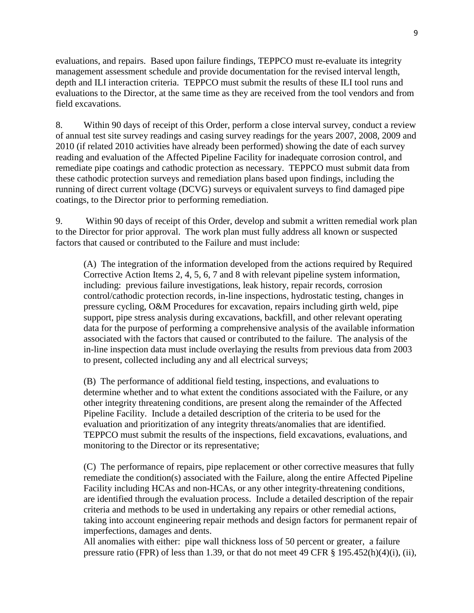evaluations, and repairs. Based upon failure findings, TEPPCO must re-evaluate its integrity management assessment schedule and provide documentation for the revised interval length, depth and ILI interaction criteria. TEPPCO must submit the results of these ILI tool runs and evaluations to the Director, at the same time as they are received from the tool vendors and from field excavations.

8. Within 90 days of receipt of this Order, perform a close interval survey, conduct a review of annual test site survey readings and casing survey readings for the years 2007, 2008, 2009 and 2010 (if related 2010 activities have already been performed) showing the date of each survey reading and evaluation of the Affected Pipeline Facility for inadequate corrosion control, and remediate pipe coatings and cathodic protection as necessary. TEPPCO must submit data from these cathodic protection surveys and remediation plans based upon findings, including the running of direct current voltage (DCVG) surveys or equivalent surveys to find damaged pipe coatings, to the Director prior to performing remediation.

9. Within 90 days of receipt of this Order, develop and submit a written remedial work plan to the Director for prior approval. The work plan must fully address all known or suspected factors that caused or contributed to the Failure and must include:

(A) The integration of the information developed from the actions required by Required Corrective Action Items 2, 4, 5, 6, 7 and 8 with relevant pipeline system information, including: previous failure investigations, leak history, repair records, corrosion control/cathodic protection records, in-line inspections, hydrostatic testing, changes in pressure cycling, O&M Procedures for excavation, repairs including girth weld, pipe support, pipe stress analysis during excavations, backfill, and other relevant operating data for the purpose of performing a comprehensive analysis of the available information associated with the factors that caused or contributed to the failure. The analysis of the in-line inspection data must include overlaying the results from previous data from 2003 to present, collected including any and all electrical surveys;

(B) The performance of additional field testing, inspections, and evaluations to determine whether and to what extent the conditions associated with the Failure, or any other integrity threatening conditions, are present along the remainder of the Affected Pipeline Facility. Include a detailed description of the criteria to be used for the evaluation and prioritization of any integrity threats/anomalies that are identified. TEPPCO must submit the results of the inspections, field excavations, evaluations, and monitoring to the Director or its representative;

(C) The performance of repairs, pipe replacement or other corrective measures that fully remediate the condition(s) associated with the Failure, along the entire Affected Pipeline Facility including HCAs and non-HCAs, or any other integrity-threatening conditions, are identified through the evaluation process. Include a detailed description of the repair criteria and methods to be used in undertaking any repairs or other remedial actions, taking into account engineering repair methods and design factors for permanent repair of imperfections, damages and dents.

All anomalies with either: pipe wall thickness loss of 50 percent or greater, a failure pressure ratio (FPR) of less than 1.39, or that do not meet 49 CFR § 195.452(h)(4)(i), (ii),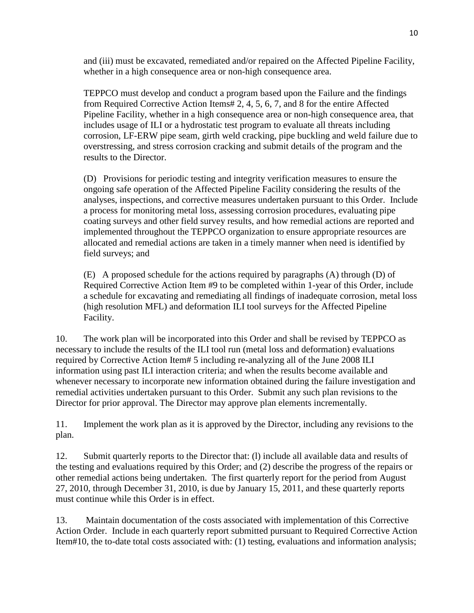and (iii) must be excavated, remediated and/or repaired on the Affected Pipeline Facility, whether in a high consequence area or non-high consequence area.

TEPPCO must develop and conduct a program based upon the Failure and the findings from Required Corrective Action Items# 2, 4, 5, 6, 7, and 8 for the entire Affected Pipeline Facility, whether in a high consequence area or non-high consequence area, that includes usage of ILI or a hydrostatic test program to evaluate all threats including corrosion, LF-ERW pipe seam, girth weld cracking, pipe buckling and weld failure due to overstressing, and stress corrosion cracking and submit details of the program and the results to the Director.

(D) Provisions for periodic testing and integrity verification measures to ensure the ongoing safe operation of the Affected Pipeline Facility considering the results of the analyses, inspections, and corrective measures undertaken pursuant to this Order. Include a process for monitoring metal loss, assessing corrosion procedures, evaluating pipe coating surveys and other field survey results, and how remedial actions are reported and implemented throughout the TEPPCO organization to ensure appropriate resources are allocated and remedial actions are taken in a timely manner when need is identified by field surveys; and

(E) A proposed schedule for the actions required by paragraphs (A) through (D) of Required Corrective Action Item #9 to be completed within 1-year of this Order, include a schedule for excavating and remediating all findings of inadequate corrosion, metal loss (high resolution MFL) and deformation ILI tool surveys for the Affected Pipeline Facility.

10. The work plan will be incorporated into this Order and shall be revised by TEPPCO as necessary to include the results of the ILI tool run (metal loss and deformation) evaluations required by Corrective Action Item# 5 including re-analyzing all of the June 2008 ILI information using past ILI interaction criteria; and when the results become available and whenever necessary to incorporate new information obtained during the failure investigation and remedial activities undertaken pursuant to this Order. Submit any such plan revisions to the Director for prior approval. The Director may approve plan elements incrementally.

11. Implement the work plan as it is approved by the Director, including any revisions to the plan.

12. Submit quarterly reports to the Director that: (l) include all available data and results of the testing and evaluations required by this Order; and (2) describe the progress of the repairs or other remedial actions being undertaken. The first quarterly report for the period from August 27, 2010, through December 31, 2010, is due by January 15, 2011, and these quarterly reports must continue while this Order is in effect.

13. Maintain documentation of the costs associated with implementation of this Corrective Action Order. Include in each quarterly report submitted pursuant to Required Corrective Action Item#10, the to-date total costs associated with: (1) testing, evaluations and information analysis;